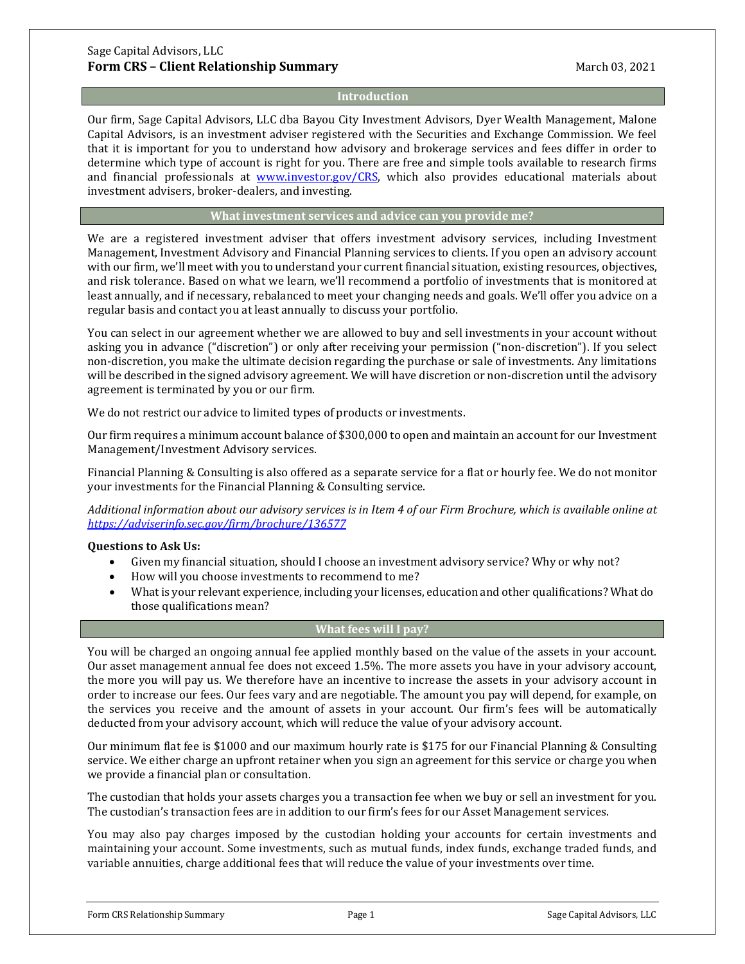## **Introduction**

Our firm, Sage Capital Advisors, LLC dba Bayou City Investment Advisors, Dyer Wealth Management, Malone Capital Advisors, is an investment adviser registered with the Securities and Exchange Commission. We feel that it is important for you to understand how advisory and brokerage services and fees differ in order to determine which type of account is right for you. There are free and simple tools available to research firms and financial professionals at [www.investor.gov/CRS,](http://www.investor.gov/CRS) which also provides educational materials about investment advisers, broker-dealers, and investing.

## **What investment services and advice can you provide me?**

We are a registered investment adviser that offers investment advisory services, including Investment Management, Investment Advisory and Financial Planning services to clients. If you open an advisory account with our firm, we'll meet with you to understand your current financial situation, existing resources, objectives, and risk tolerance. Based on what we learn, we'll recommend a portfolio of investments that is monitored at least annually, and if necessary, rebalanced to meet your changing needs and goals. We'll offer you advice on a regular basis and contact you at least annually to discuss your portfolio.

You can select in our agreement whether we are allowed to buy and sell investments in your account without asking you in advance ("discretion") or only after receiving your permission ("non-discretion"). If you select non-discretion, you make the ultimate decision regarding the purchase or sale of investments. Any limitations will be described in the signed advisory agreement. We will have discretion or non-discretion until the advisory agreement is terminated by you or our firm.

We do not restrict our advice to limited types of products or investments.

Our firm requires a minimum account balance of \$300,000 to open and maintain an account for our Investment Management/Investment Advisory services.

Financial Planning & Consulting is also offered as a separate service for a flat or hourly fee. We do not monitor your investments for the Financial Planning & Consulting service.

*Additional information about our advisory services is in Item 4 of our Firm Brochure, which is available online at <https://adviserinfo.sec.gov/firm/brochure/136577>*

#### **Questions to Ask Us:**

- Given my financial situation, should I choose an investment advisory service? Why or why not?
- How will you choose investments to recommend to me?
- What is your relevant experience, including your licenses, education and other qualifications? What do those qualifications mean?

## **What fees will I pay?**

You will be charged an ongoing annual fee applied monthly based on the value of the assets in your account. Our asset management annual fee does not exceed 1.5%. The more assets you have in your advisory account, the more you will pay us. We therefore have an incentive to increase the assets in your advisory account in order to increase our fees. Our fees vary and are negotiable. The amount you pay will depend, for example, on the services you receive and the amount of assets in your account. Our firm's fees will be automatically deducted from your advisory account, which will reduce the value of your advisory account.

Our minimum flat fee is \$1000 and our maximum hourly rate is \$175 for our Financial Planning & Consulting service. We either charge an upfront retainer when you sign an agreement for this service or charge you when we provide a financial plan or consultation.

The custodian that holds your assets charges you a transaction fee when we buy or sell an investment for you. The custodian's transaction fees are in addition to our firm's fees for our Asset Management services.

You may also pay charges imposed by the custodian holding your accounts for certain investments and maintaining your account. Some investments, such as mutual funds, index funds, exchange traded funds, and variable annuities, charge additional fees that will reduce the value of your investments over time.